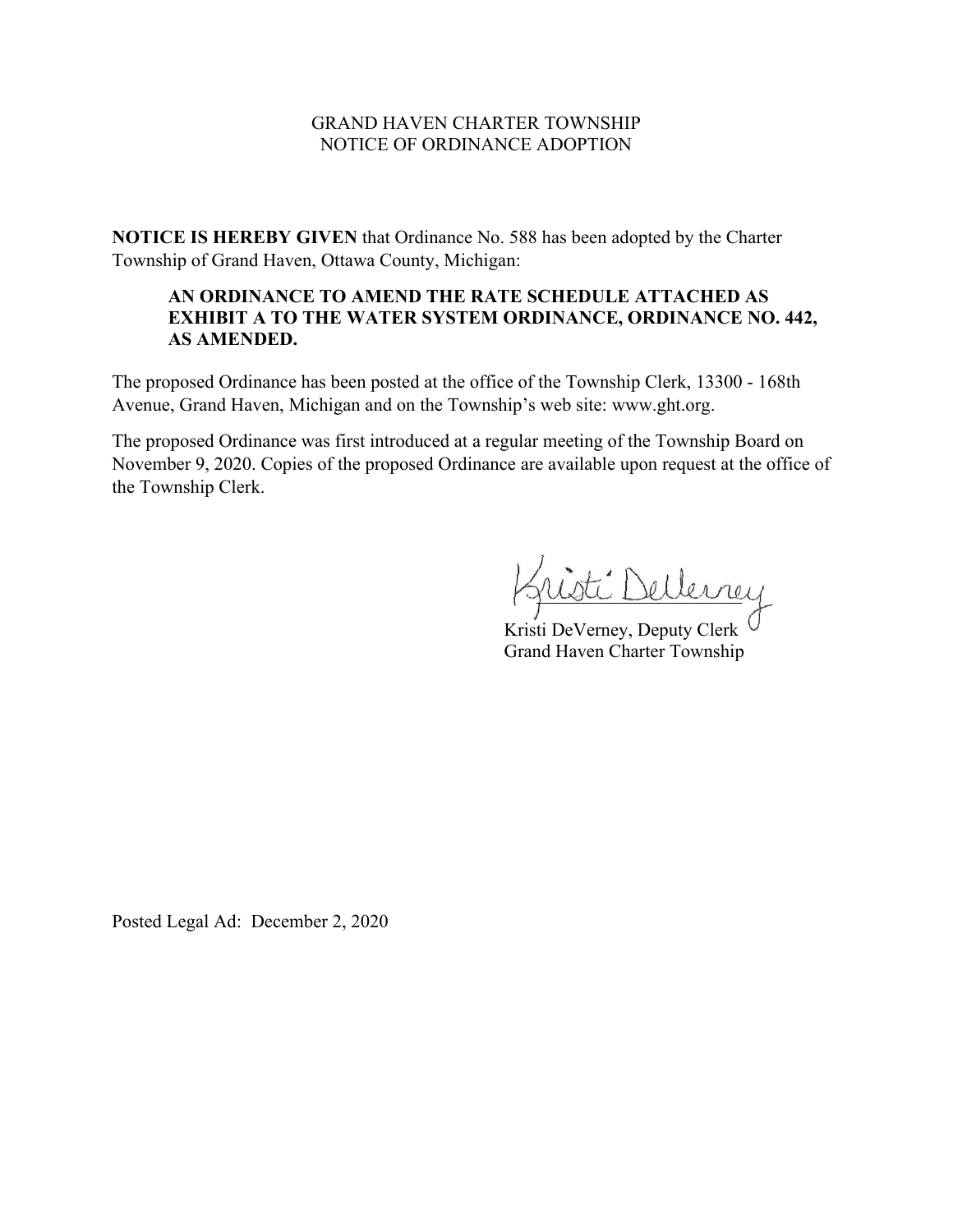## GRAND HAVEN CHARTER TOWNSHIP NOTICE OF ORDINANCE ADOPTION

**NOTICE IS HEREBY GIVEN** that Ordinance No. 588 has been adopted by the Charter Township of Grand Haven, Ottawa County, Michigan:

# **AN ORDINANCE TO AMEND THE RATE SCHEDULE ATTACHED AS EXHIBIT A TO THE WATER SYSTEM ORDINANCE, ORDINANCE NO. 442, AS AMENDED.**

The proposed Ordinance has been posted at the office of the Township Clerk, 13300 - 168th Avenue, Grand Haven, Michigan and on the Township's web site: www.ght.org.

The proposed Ordinance was first introduced at a regular meeting of the Township Board on November 9, 2020. Copies of the proposed Ordinance are available upon request at the office of the Township Clerk.

ti Dellerney

Kristi DeVerney, Deputy Clerk<sup>(</sup> Grand Haven Charter Township

Posted Legal Ad: December 2, 2020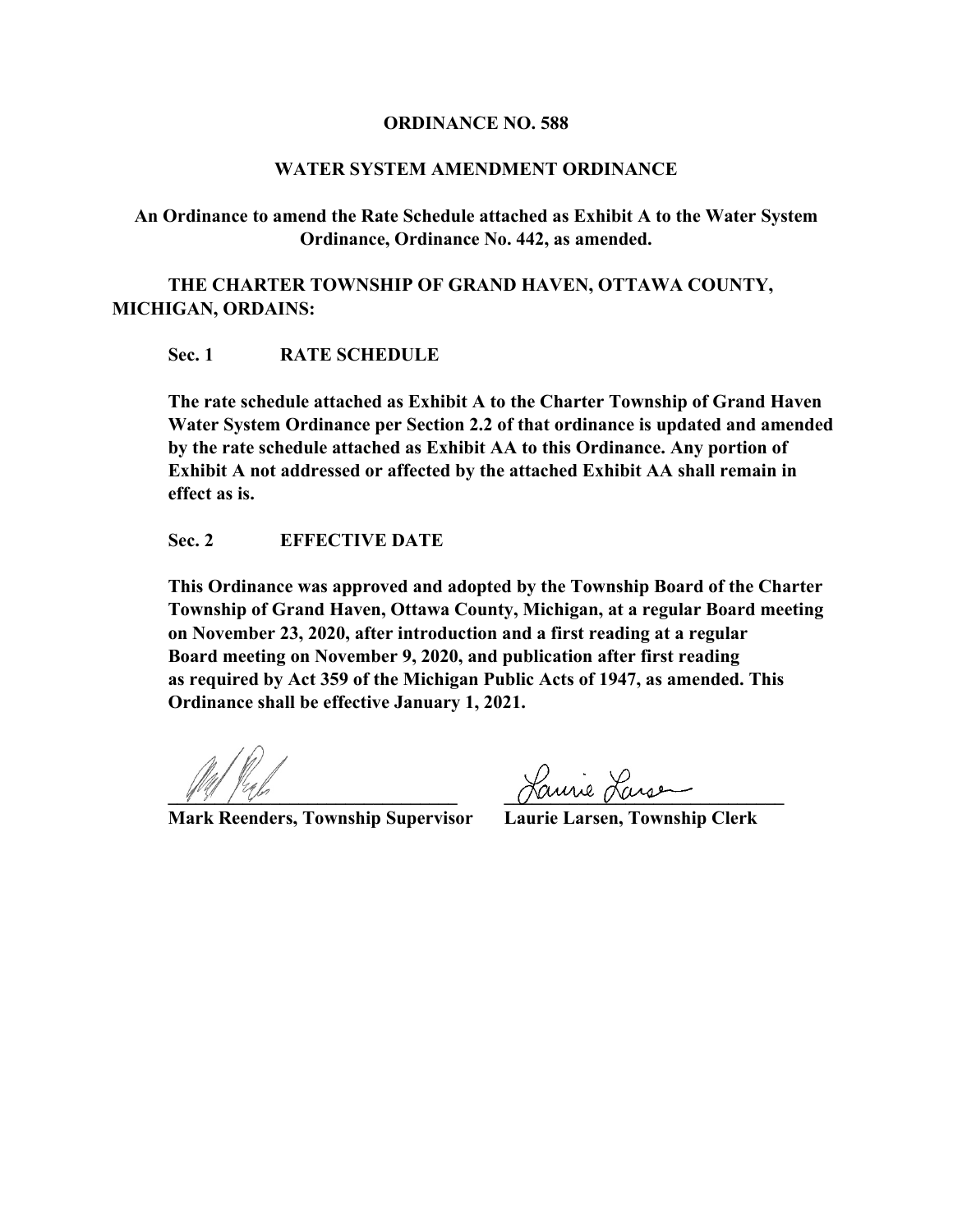#### **ORDINANCE NO. 588**

## **WATER SYSTEM AMENDMENT ORDINANCE**

**An Ordinance to amend the Rate Schedule attached as Exhibit A to the Water System Ordinance, Ordinance No. 442, as amended.**

**THE CHARTER TOWNSHIP OF GRAND HAVEN, OTTAWA COUNTY, MICHIGAN, ORDAINS:**

**Sec. 1 RATE SCHEDULE**

**The rate schedule attached as Exhibit A to the Charter Township of Grand Haven Water System Ordinance per Section 2.2 of that ordinance is updated and amended by the rate schedule attached as Exhibit AA to this Ordinance. Any portion of Exhibit A not addressed or affected by the attached Exhibit AA shall remain in effect as is.**

## **Sec. 2 EFFECTIVE DATE**

**This Ordinance was approved and adopted by the Township Board of the Charter Township of Grand Haven, Ottawa County, Michigan, at a regular Board meeting on November 23, 2020, after introduction and a first reading at a regular Board meeting on November 9, 2020, and publication after first reading as required by Act 359 of the Michigan Public Acts of 1947, as amended. This Ordinance shall be effective January 1, 2021.**

**Mark Reenders, Township Supervisor** 

<u>Laurie</u> Lansen<br>
Laurie Larsen, Township Clerk